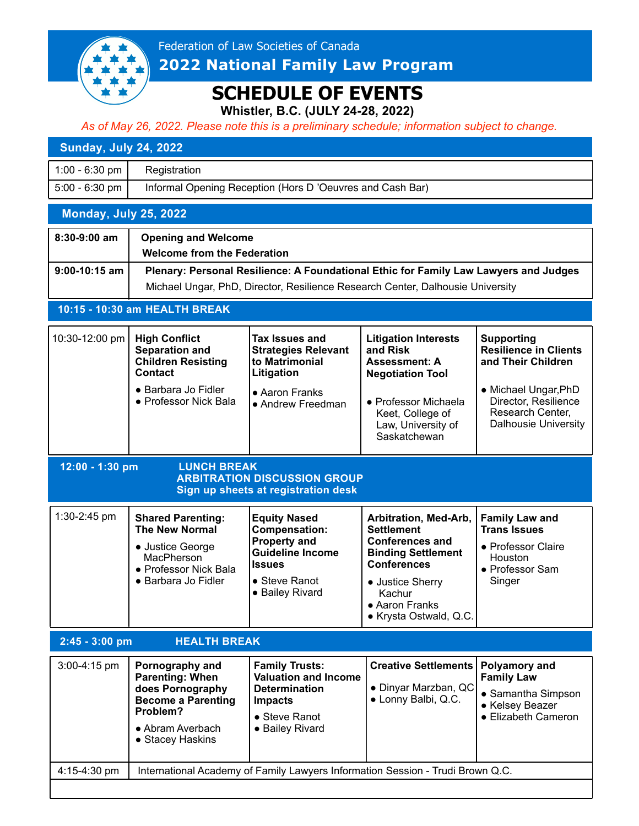

# **SCHEDULE OF EVENTS**

**Whistler, B.C. (JULY 24-28, 2022)**

*As of May 26, 2022. Please note this is a preliminary schedule; information subject to change.*

#### **Sunday, July 24, 2022**

| 1:00 - 6:30 pm $\vert$   | Registration                                              |
|--------------------------|-----------------------------------------------------------|
| $5:00 - 6:30$ pm $\vert$ | Informal Opening Reception (Hors D 'Oeuvres and Cash Bar) |

### **Monday, July 25, 2022**

| 8:30-9:00 am    | <b>Opening and Welcome</b><br><b>Welcome from the Federation</b>                                                                                                       |
|-----------------|------------------------------------------------------------------------------------------------------------------------------------------------------------------------|
| $9:00-10:15$ am | Plenary: Personal Resilience: A Foundational Ethic for Family Law Lawyers and Judges<br>Michael Ungar, PhD, Director, Resilience Research Center, Dalhousie University |

#### **10:15 - 10:30 am HEALTH BREAK**

| 10:30-12:00 pm | <b>High Conflict</b><br><b>Separation and</b><br><b>Children Resisting</b><br><b>Contact</b> | Tax Issues and<br><b>Strategies Relevant</b><br>to Matrimonial<br>Litigation | <b>Litigation Interests</b><br>and Risk<br><b>Assessment: A</b><br><b>Negotiation Tool</b> | Supporting<br><b>Resilience in Clients</b><br>and Their Children                                |
|----------------|----------------------------------------------------------------------------------------------|------------------------------------------------------------------------------|--------------------------------------------------------------------------------------------|-------------------------------------------------------------------------------------------------|
|                | • Barbara Jo Fidler<br>• Professor Nick Bala                                                 | • Aaron Franks<br>• Andrew Freedman                                          | • Professor Michaela<br>Keet, College of<br>Law, University of<br>Saskatchewan             | • Michael Ungar, PhD<br>Director, Resilience<br>Research Center,<br><b>Dalhousie University</b> |

**12:00 - 1:30 pm LUNCH BREAK**

## **ARBITRATION DISCUSSION GROUP Sign up sheets at registration desk**

| $1:30-2:45$ pm | <b>Shared Parenting:</b><br><b>The New Normal</b><br>• Justice George<br>MacPherson<br>• Professor Nick Bala | <b>Equity Nased</b><br> Compensation:<br><b>Property and</b><br><b>Guideline Income</b><br><b>Ilssues</b> | Arbitration, Med-Arb,<br><b>Settlement</b><br><b>Conferences and</b><br><b>Binding Settlement</b><br><b>Conferences</b> | <b>Family Law and</b><br><b>Trans Issues</b><br>• Professor Claire<br>Houston<br>• Professor Sam |
|----------------|--------------------------------------------------------------------------------------------------------------|-----------------------------------------------------------------------------------------------------------|-------------------------------------------------------------------------------------------------------------------------|--------------------------------------------------------------------------------------------------|
|                | • Barbara Jo Fidler                                                                                          | ● Steve Ranot<br>• Bailey Rivard                                                                          | • Justice Sherry<br>Kachur<br>• Aaron Franks                                                                            | Singer                                                                                           |

! Krysta Ostwald, Q.C.

| $2:45 - 3:00$ pm | <b>HEALTH BREAK</b>                                                                                                                            |                                                                                                                                            |                                                                              |                                                                                                    |
|------------------|------------------------------------------------------------------------------------------------------------------------------------------------|--------------------------------------------------------------------------------------------------------------------------------------------|------------------------------------------------------------------------------|----------------------------------------------------------------------------------------------------|
| $3:00-4:15$ pm   | Pornography and<br><b>Parenting: When</b><br>does Pornography<br><b>Become a Parenting</b><br>Problem?<br>• Abram Averbach<br>• Stacey Haskins | <b>Family Trusts:</b><br><b>Valuation and Income</b><br><b>Determination</b><br><b>Impacts</b><br>$\bullet$ Steve Ranot<br>• Bailey Rivard | <b>Creative Settlements  </b><br>• Dinyar Marzban, QC<br>• Lonny Balbi, Q.C. | Polyamory and<br><b>Family Law</b><br>• Samantha Simpson<br>• Kelsey Beazer<br>• Elizabeth Cameron |
| 4:15-4:30 pm     |                                                                                                                                                | International Academy of Family Lawyers Information Session - Trudi Brown Q.C.                                                             |                                                                              |                                                                                                    |
|                  |                                                                                                                                                |                                                                                                                                            |                                                                              |                                                                                                    |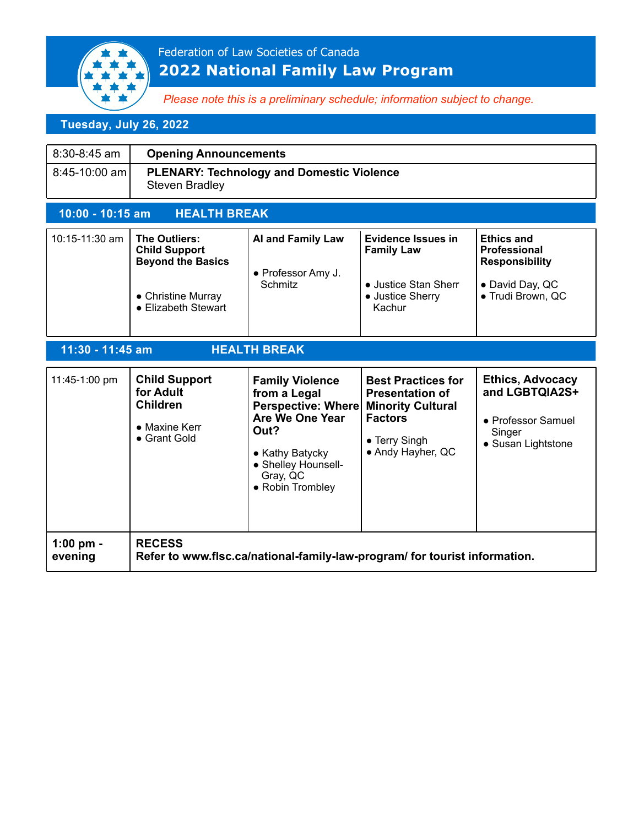

*Please note this is a preliminary schedule; information subject to change.*

# **Tuesday, July 26, 2022**

| 8:30-8:45 am                            | <b>Opening Announcements</b>                                                                                   |                                                                                                                                                                   |                                                                                                                                         |                                                                                                           |
|-----------------------------------------|----------------------------------------------------------------------------------------------------------------|-------------------------------------------------------------------------------------------------------------------------------------------------------------------|-----------------------------------------------------------------------------------------------------------------------------------------|-----------------------------------------------------------------------------------------------------------|
| 8:45-10:00 am                           | <b>PLENARY: Technology and Domestic Violence</b><br><b>Steven Bradley</b>                                      |                                                                                                                                                                   |                                                                                                                                         |                                                                                                           |
| 10:00 - 10:15 am                        | <b>HEALTH BREAK</b>                                                                                            |                                                                                                                                                                   |                                                                                                                                         |                                                                                                           |
| 10:15-11:30 am                          | The Outliers:<br><b>Child Support</b><br><b>Beyond the Basics</b><br>• Christine Murray<br>• Elizabeth Stewart | <b>Al and Family Law</b><br>• Professor Amy J.<br>Schmitz                                                                                                         | <b>Evidence Issues in</b><br><b>Family Law</b><br>• Justice Stan Sherr<br>• Justice Sherry<br>Kachur                                    | <b>Ethics and</b><br><b>Professional</b><br><b>Responsibility</b><br>• David Day, QC<br>· Trudi Brown, QC |
| <b>HEALTH BREAK</b><br>11:30 - 11:45 am |                                                                                                                |                                                                                                                                                                   |                                                                                                                                         |                                                                                                           |
| 11:45-1:00 pm                           | <b>Child Support</b><br>for Adult<br><b>Children</b><br>• Maxine Kerr<br>• Grant Gold                          | <b>Family Violence</b><br>from a Legal<br>Perspective: Where<br>Are We One Year<br>Out?<br>• Kathy Batycky<br>• Shelley Hounsell-<br>Gray, QC<br>• Robin Trombley | <b>Best Practices for</b><br><b>Presentation of</b><br><b>Minority Cultural</b><br><b>Factors</b><br>• Terry Singh<br>• Andy Hayher, QC | <b>Ethics, Advocacy</b><br>and LGBTQIA2S+<br>• Professor Samuel<br>Singer<br>• Susan Lightstone           |
| 1:00 pm -<br>evening                    | <b>RECESS</b>                                                                                                  |                                                                                                                                                                   | Refer to www.flsc.ca/national-family-law-program/ for tourist information.                                                              |                                                                                                           |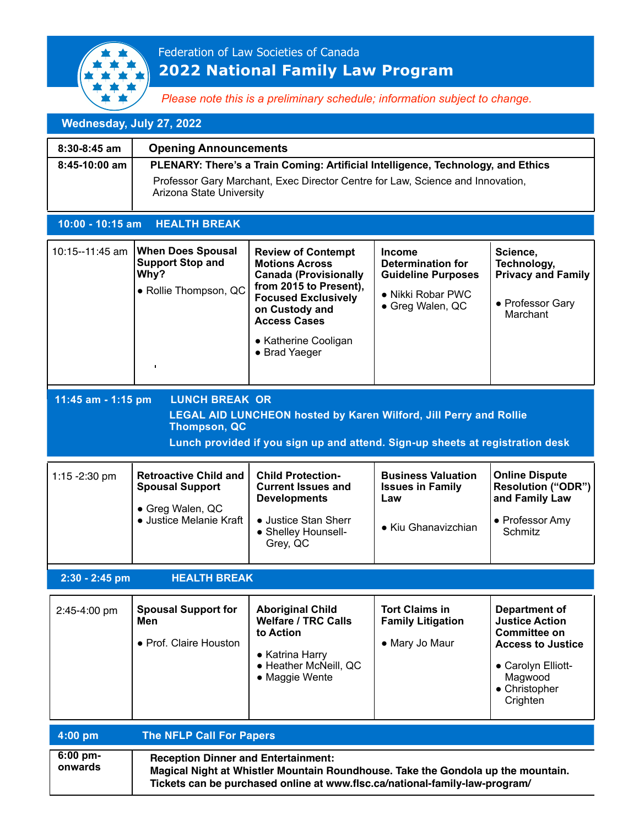

*Please note this is a preliminary schedule; information subject to change.*

| Wednesday, July 27, 2022                                                                                                                                                                                                        |                                                                                                                                                                                                |                                                                                                                                                                                                                              |                                                                                                                 |                                                                                                                                                                |
|---------------------------------------------------------------------------------------------------------------------------------------------------------------------------------------------------------------------------------|------------------------------------------------------------------------------------------------------------------------------------------------------------------------------------------------|------------------------------------------------------------------------------------------------------------------------------------------------------------------------------------------------------------------------------|-----------------------------------------------------------------------------------------------------------------|----------------------------------------------------------------------------------------------------------------------------------------------------------------|
| $8:30-8:45$ am                                                                                                                                                                                                                  | <b>Opening Announcements</b>                                                                                                                                                                   |                                                                                                                                                                                                                              |                                                                                                                 |                                                                                                                                                                |
| 8:45-10:00 am                                                                                                                                                                                                                   | PLENARY: There's a Train Coming: Artificial Intelligence, Technology, and Ethics<br>Professor Gary Marchant, Exec Director Centre for Law, Science and Innovation,<br>Arizona State University |                                                                                                                                                                                                                              |                                                                                                                 |                                                                                                                                                                |
| 10:00 - 10:15 am                                                                                                                                                                                                                | <b>HEALTH BREAK</b>                                                                                                                                                                            |                                                                                                                                                                                                                              |                                                                                                                 |                                                                                                                                                                |
| 10:15--11:45 am                                                                                                                                                                                                                 | <b>When Does Spousal</b><br><b>Support Stop and</b><br>Why?<br>· Rollie Thompson, QC<br>$\blacksquare$                                                                                         | <b>Review of Contempt</b><br><b>Motions Across</b><br><b>Canada (Provisionally</b><br>from 2015 to Present),<br><b>Focused Exclusively</b><br>on Custody and<br><b>Access Cases</b><br>• Katherine Cooligan<br>• Brad Yaeger | <b>Income</b><br><b>Determination for</b><br><b>Guideline Purposes</b><br>• Nikki Robar PWC<br>• Greg Walen, QC | Science,<br>Technology,<br><b>Privacy and Family</b><br>• Professor Gary<br>Marchant                                                                           |
| 11:45 am - 1:15 pm<br><b>LUNCH BREAK OR</b><br><b>LEGAL AID LUNCHEON hosted by Karen Wilford, Jill Perry and Rollie</b><br><b>Thompson, QC</b><br>Lunch provided if you sign up and attend. Sign-up sheets at registration desk |                                                                                                                                                                                                |                                                                                                                                                                                                                              |                                                                                                                 |                                                                                                                                                                |
| 1:15 - 2:30 pm                                                                                                                                                                                                                  | <b>Retroactive Child and</b><br><b>Spousal Support</b><br>• Greg Walen, QC<br>• Justice Melanie Kraft                                                                                          | <b>Child Protection-</b><br><b>Current Issues and</b><br><b>Developments</b><br>• Justice Stan Sherr<br>• Shelley Hounsell-<br>Grey, QC                                                                                      | <b>Business Valuation</b><br><b>Issues in Family</b><br>Law<br>• Kiu Ghanavizchian                              | <b>Online Dispute</b><br><b>Resolution ("ODR")</b><br>and Family Law<br>• Professor Amy<br>Schmitz                                                             |
| 2:30 - 2:45 pm                                                                                                                                                                                                                  | <b>HEALTH BREAK</b>                                                                                                                                                                            |                                                                                                                                                                                                                              |                                                                                                                 |                                                                                                                                                                |
| 2:45-4:00 pm                                                                                                                                                                                                                    | <b>Spousal Support for</b><br>Men<br>• Prof. Claire Houston                                                                                                                                    | <b>Aboriginal Child</b><br><b>Welfare / TRC Calls</b><br>to Action<br>• Katrina Harry<br>• Heather McNeill, QC<br>• Maggie Wente                                                                                             | <b>Tort Claims in</b><br><b>Family Litigation</b><br>• Mary Jo Maur                                             | <b>Department of</b><br><b>Justice Action</b><br><b>Committee on</b><br><b>Access to Justice</b><br>• Carolyn Elliott-<br>Magwood<br>• Christopher<br>Crighten |
| 4:00 pm                                                                                                                                                                                                                         | <b>The NFLP Call For Papers</b>                                                                                                                                                                |                                                                                                                                                                                                                              |                                                                                                                 |                                                                                                                                                                |
|                                                                                                                                                                                                                                 |                                                                                                                                                                                                |                                                                                                                                                                                                                              |                                                                                                                 |                                                                                                                                                                |

| $6:00 \text{ pm}$ | <b>Reception Dinner and Entertainment:</b>                                       |
|-------------------|----------------------------------------------------------------------------------|
| onwards           | Magical Night at Whistler Mountain Roundhouse. Take the Gondola up the mountain. |
|                   | Tickets can be purchased online at www.flsc.ca/national-family-law-program/      |